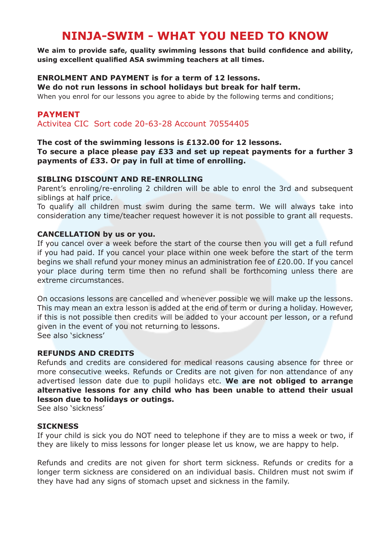# **NINJA-SWIM - WHAT YOU NEED TO KNOW**

**We aim to provide safe, quality swimming lessons that build confidence and ability, using excellent qualified ASA swimming teachers at all times.**

# **ENROLMENT AND PAYMENT is for a term of 12 lessons.**

**We do not run lessons in school holidays but break for half term.**

When you enrol for our lessons you agree to abide by the following terms and conditions;

# **PAYMENT**

Activitea CIC Sort code 20-63-28 Account 70554405

### **The cost of the swimming lessons is £132.00 for 12 lessons.**

### **To secure a place please pay £33 and set up repeat payments for a further 3 payments of £33. Or pay in full at time of enrolling.**

## **SIBLING DISCOUNT AND RE-ENROLLING**

Parent's enroling/re-enroling 2 children will be able to enrol the 3rd and subsequent siblings at half price.

To qualify all children must swim during the same term. We will always take into consideration any time/teacher request however it is not possible to grant all requests.

### **CANCELLATION by us or you.**

If you cancel over a week before the start of the course then you will get a full refund if you had paid. If you cancel your place within one week before the start of the term begins we shall refund your money minus an administration fee of £20.00. If you cancel your place during term time then no refund shall be forthcoming unless there are extreme circumstances.

On occasions lessons are cancelled and whenever possible we will make up the lessons. This may mean an extra lesson is added at the end of term or during a holiday. However, if this is not possible then credits will be added to your account per lesson, or a refund given in the event of you not returning to lessons. See also 'sickness'

### **REFUNDS AND CREDITS**

Refunds and credits are considered for medical reasons causing absence for three or more consecutive weeks. Refunds or Credits are not given for non attendance of any advertised lesson date due to pupil holidays etc. **We are not obliged to arrange alternative lessons for any child who has been unable to attend their usual lesson due to holidays or outings.** 

See also 'sickness'

### **SICKNESS**

If your child is sick you do NOT need to telephone if they are to miss a week or two, if they are likely to miss lessons for longer please let us know, we are happy to help.

Refunds and credits are not given for short term sickness. Refunds or credits for a longer term sickness are considered on an individual basis. Children must not swim if they have had any signs of stomach upset and sickness in the family.